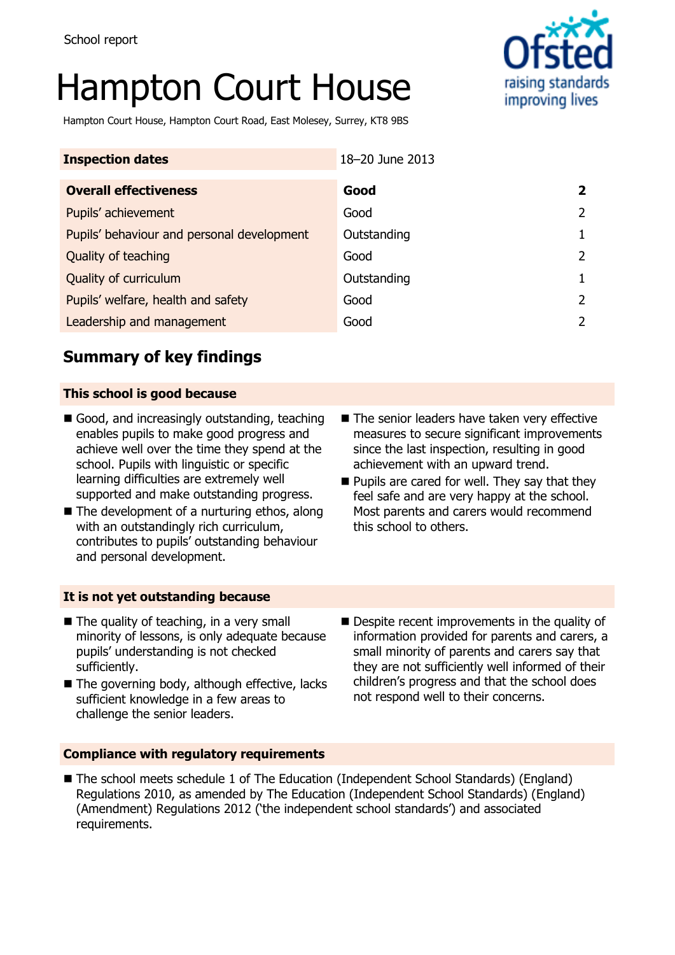# Hampton Court House



Hampton Court House, Hampton Court Road, East Molesey, Surrey, KT8 9BS

| <b>Inspection dates</b>                    | 18-20 June 2013 |  |
|--------------------------------------------|-----------------|--|
| <b>Overall effectiveness</b>               | Good            |  |
| Pupils' achievement                        | Good            |  |
| Pupils' behaviour and personal development | Outstanding     |  |
| Quality of teaching                        | Good            |  |
| Quality of curriculum                      | Outstanding     |  |
| Pupils' welfare, health and safety         | Good            |  |
| Leadership and management                  | Good            |  |

# **Summary of key findings**

#### **This school is good because**

- Good, and increasingly outstanding, teaching enables pupils to make good progress and achieve well over the time they spend at the school. Pupils with linguistic or specific learning difficulties are extremely well supported and make outstanding progress.
- $\blacksquare$  The development of a nurturing ethos, along with an outstandingly rich curriculum, contributes to pupils' outstanding behaviour and personal development.
- The senior leaders have taken very effective measures to secure significant improvements since the last inspection, resulting in good achievement with an upward trend.
- $\blacksquare$  Pupils are cared for well. They say that they feel safe and are very happy at the school. Most parents and carers would recommend this school to others.

#### **It is not yet outstanding because**

- The quality of teaching, in a very small minority of lessons, is only adequate because pupils' understanding is not checked sufficiently.
- The governing body, although effective, lacks sufficient knowledge in a few areas to challenge the senior leaders.
- Despite recent improvements in the quality of information provided for parents and carers, a small minority of parents and carers say that they are not sufficiently well informed of their children's progress and that the school does not respond well to their concerns.

#### **Compliance with regulatory requirements**

■ The school meets schedule 1 of The Education (Independent School Standards) (England) Regulations 2010, as amended by The Education (Independent School Standards) (England) (Amendment) Regulations 2012 ('the independent school standards') and associated requirements.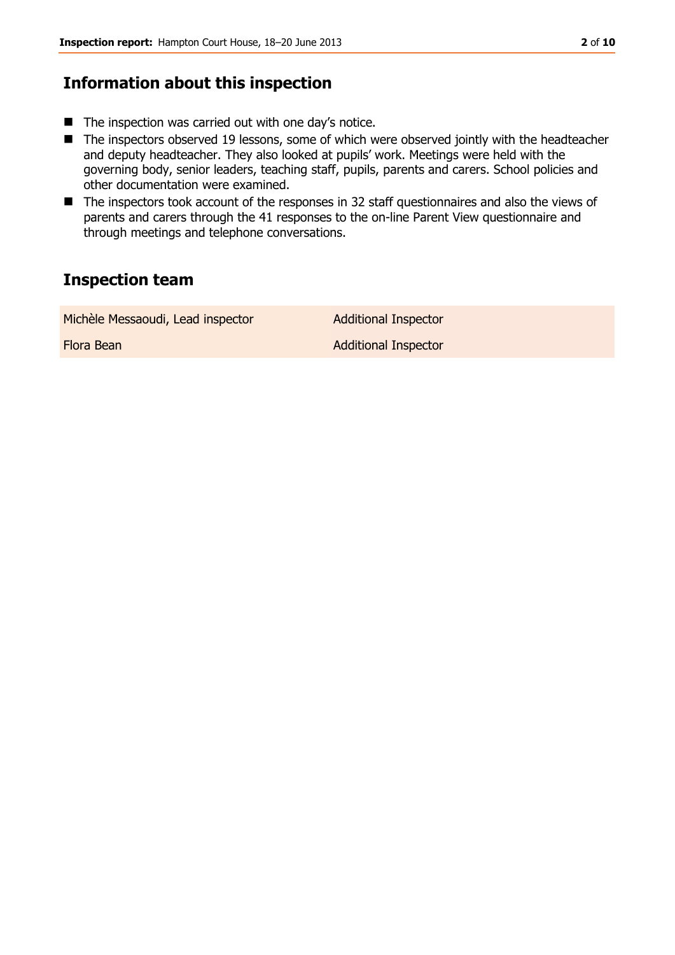# **Information about this inspection**

- $\blacksquare$  The inspection was carried out with one day's notice.
- The inspectors observed 19 lessons, some of which were observed jointly with the headteacher and deputy headteacher. They also looked at pupils' work. Meetings were held with the governing body, senior leaders, teaching staff, pupils, parents and carers. School policies and other documentation were examined.
- The inspectors took account of the responses in 32 staff questionnaires and also the views of parents and carers through the 41 responses to the on-line Parent View questionnaire and through meetings and telephone conversations.

# **Inspection team**

Michèle Messaoudi, Lead inspector **Additional Inspector** 

Flora Bean **Additional Inspector**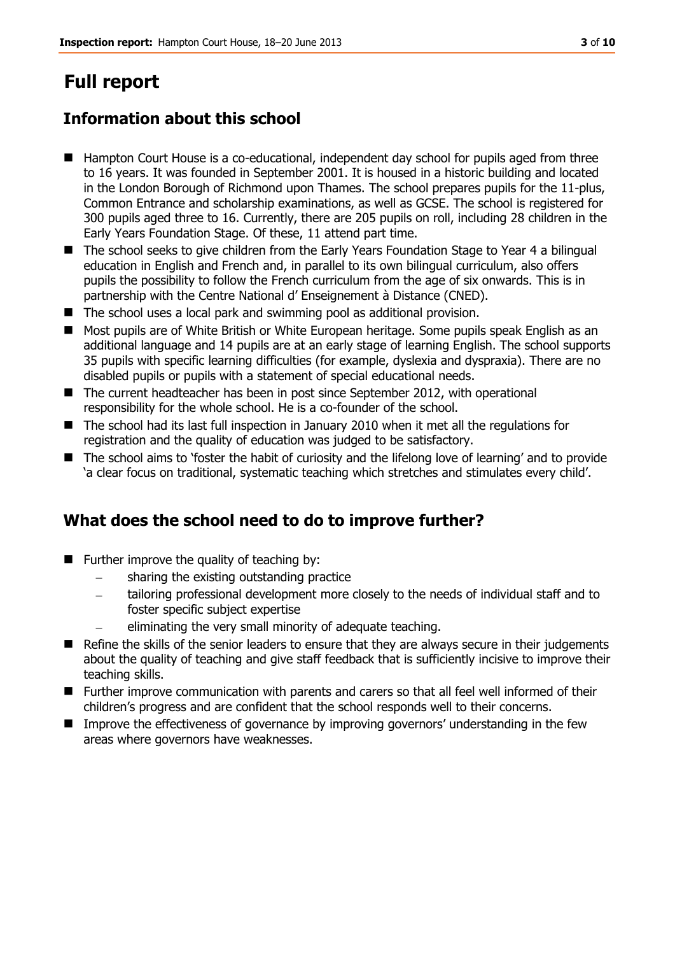# **Full report**

# **Information about this school**

- Hampton Court House is a co-educational, independent day school for pupils aged from three to 16 years. It was founded in September 2001. It is housed in a historic building and located in the London Borough of Richmond upon Thames. The school prepares pupils for the 11-plus, Common Entrance and scholarship examinations, as well as GCSE. The school is registered for 300 pupils aged three to 16. Currently, there are 205 pupils on roll, including 28 children in the Early Years Foundation Stage. Of these, 11 attend part time.
- The school seeks to give children from the Early Years Foundation Stage to Year 4 a bilingual education in English and French and, in parallel to its own bilingual curriculum, also offers pupils the possibility to follow the French curriculum from the age of six onwards. This is in partnership with the Centre National d' Enseignement à Distance (CNED).
- The school uses a local park and swimming pool as additional provision.
- Most pupils are of White British or White European heritage. Some pupils speak English as an additional language and 14 pupils are at an early stage of learning English. The school supports 35 pupils with specific learning difficulties (for example, dyslexia and dyspraxia). There are no disabled pupils or pupils with a statement of special educational needs.
- The current headteacher has been in post since September 2012, with operational responsibility for the whole school. He is a co-founder of the school.
- The school had its last full inspection in January 2010 when it met all the regulations for registration and the quality of education was judged to be satisfactory.
- The school aims to 'foster the habit of curiosity and the lifelong love of learning' and to provide 'a clear focus on traditional, systematic teaching which stretches and stimulates every child'.

# **What does the school need to do to improve further?**

- $\blacksquare$  Further improve the quality of teaching by:
	- sharing the existing outstanding practice
	- tailoring professional development more closely to the needs of individual staff and to foster specific subject expertise
	- eliminating the very small minority of adequate teaching.
- Refine the skills of the senior leaders to ensure that they are always secure in their judgements about the quality of teaching and give staff feedback that is sufficiently incisive to improve their teaching skills.
- Further improve communication with parents and carers so that all feel well informed of their children's progress and are confident that the school responds well to their concerns.
- **IMP** Improve the effectiveness of governance by improving governors' understanding in the few areas where governors have weaknesses.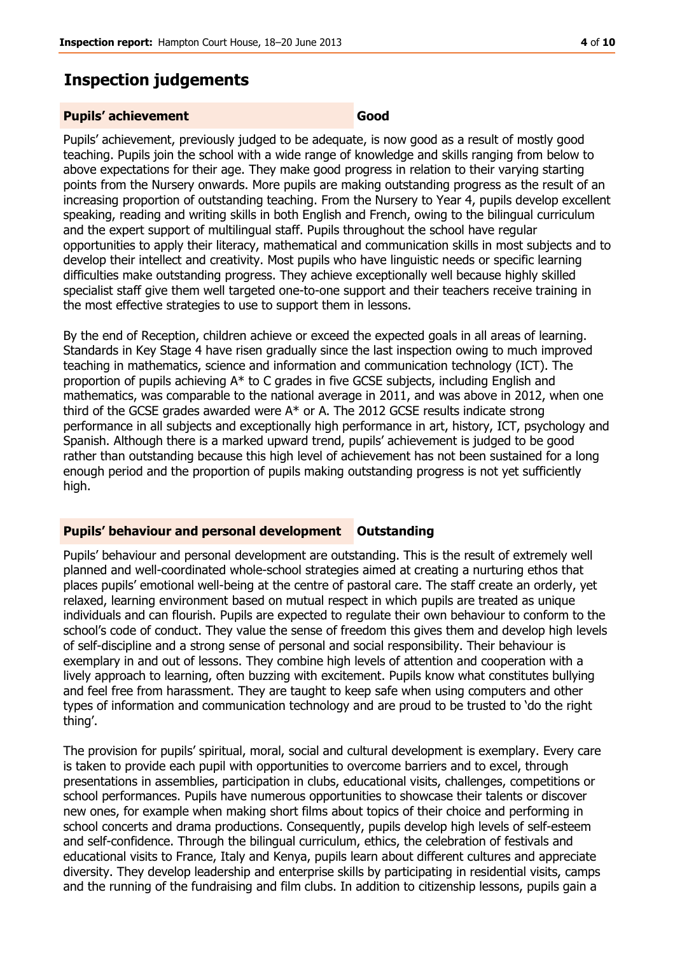### **Inspection judgements**

#### **Pupils' achievement Good**

Pupils' achievement, previously judged to be adequate, is now good as a result of mostly good teaching. Pupils join the school with a wide range of knowledge and skills ranging from below to above expectations for their age. They make good progress in relation to their varying starting points from the Nursery onwards. More pupils are making outstanding progress as the result of an increasing proportion of outstanding teaching. From the Nursery to Year 4, pupils develop excellent speaking, reading and writing skills in both English and French, owing to the bilingual curriculum and the expert support of multilingual staff. Pupils throughout the school have regular opportunities to apply their literacy, mathematical and communication skills in most subjects and to develop their intellect and creativity. Most pupils who have linguistic needs or specific learning difficulties make outstanding progress. They achieve exceptionally well because highly skilled specialist staff give them well targeted one-to-one support and their teachers receive training in the most effective strategies to use to support them in lessons.

By the end of Reception, children achieve or exceed the expected goals in all areas of learning. Standards in Key Stage 4 have risen gradually since the last inspection owing to much improved teaching in mathematics, science and information and communication technology (ICT). The proportion of pupils achieving A\* to C grades in five GCSE subjects, including English and mathematics, was comparable to the national average in 2011, and was above in 2012, when one third of the GCSE grades awarded were A\* or A. The 2012 GCSE results indicate strong performance in all subjects and exceptionally high performance in art, history, ICT, psychology and Spanish. Although there is a marked upward trend, pupils' achievement is judged to be good rather than outstanding because this high level of achievement has not been sustained for a long enough period and the proportion of pupils making outstanding progress is not yet sufficiently high.

#### **Pupils' behaviour and personal development Outstanding**

Pupils' behaviour and personal development are outstanding. This is the result of extremely well planned and well-coordinated whole-school strategies aimed at creating a nurturing ethos that places pupils' emotional well-being at the centre of pastoral care. The staff create an orderly, yet relaxed, learning environment based on mutual respect in which pupils are treated as unique individuals and can flourish. Pupils are expected to regulate their own behaviour to conform to the school's code of conduct. They value the sense of freedom this gives them and develop high levels of self-discipline and a strong sense of personal and social responsibility. Their behaviour is exemplary in and out of lessons. They combine high levels of attention and cooperation with a lively approach to learning, often buzzing with excitement. Pupils know what constitutes bullying and feel free from harassment. They are taught to keep safe when using computers and other types of information and communication technology and are proud to be trusted to 'do the right thing'.

The provision for pupils' spiritual, moral, social and cultural development is exemplary. Every care is taken to provide each pupil with opportunities to overcome barriers and to excel, through presentations in assemblies, participation in clubs, educational visits, challenges, competitions or school performances. Pupils have numerous opportunities to showcase their talents or discover new ones, for example when making short films about topics of their choice and performing in school concerts and drama productions. Consequently, pupils develop high levels of self-esteem and self-confidence. Through the bilingual curriculum, ethics, the celebration of festivals and educational visits to France, Italy and Kenya, pupils learn about different cultures and appreciate diversity. They develop leadership and enterprise skills by participating in residential visits, camps and the running of the fundraising and film clubs. In addition to citizenship lessons, pupils gain a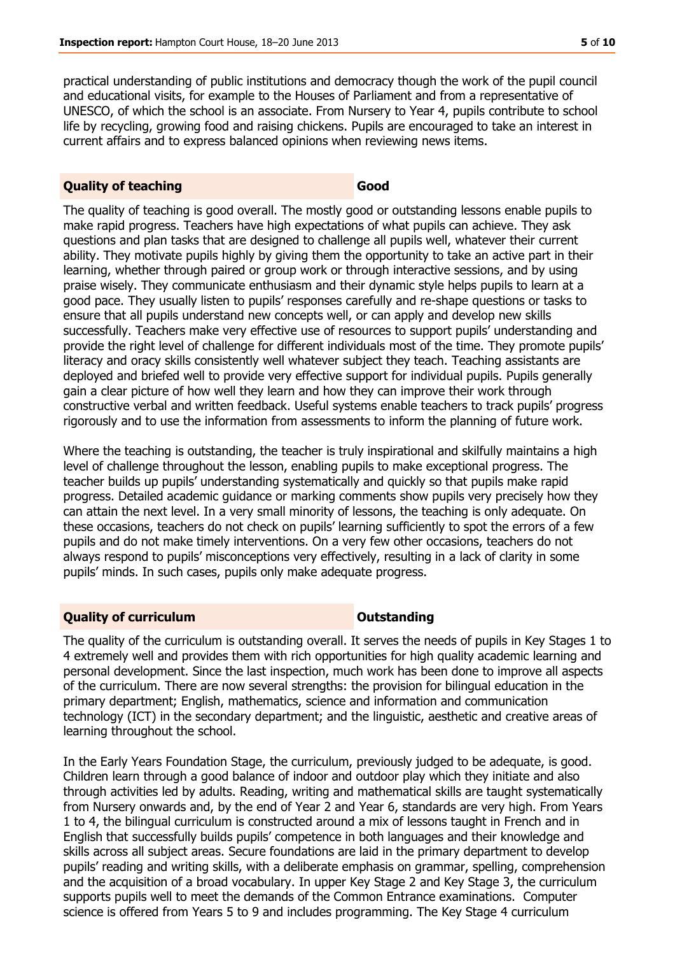practical understanding of public institutions and democracy though the work of the pupil council and educational visits, for example to the Houses of Parliament and from a representative of UNESCO, of which the school is an associate. From Nursery to Year 4, pupils contribute to school life by recycling, growing food and raising chickens. Pupils are encouraged to take an interest in current affairs and to express balanced opinions when reviewing news items.

#### **Quality of teaching Good**

The quality of teaching is good overall. The mostly good or outstanding lessons enable pupils to make rapid progress. Teachers have high expectations of what pupils can achieve. They ask questions and plan tasks that are designed to challenge all pupils well, whatever their current ability. They motivate pupils highly by giving them the opportunity to take an active part in their learning, whether through paired or group work or through interactive sessions, and by using praise wisely. They communicate enthusiasm and their dynamic style helps pupils to learn at a good pace. They usually listen to pupils' responses carefully and re-shape questions or tasks to ensure that all pupils understand new concepts well, or can apply and develop new skills successfully. Teachers make very effective use of resources to support pupils' understanding and provide the right level of challenge for different individuals most of the time. They promote pupils' literacy and oracy skills consistently well whatever subject they teach. Teaching assistants are deployed and briefed well to provide very effective support for individual pupils. Pupils generally gain a clear picture of how well they learn and how they can improve their work through constructive verbal and written feedback. Useful systems enable teachers to track pupils' progress rigorously and to use the information from assessments to inform the planning of future work.

Where the teaching is outstanding, the teacher is truly inspirational and skilfully maintains a high level of challenge throughout the lesson, enabling pupils to make exceptional progress. The teacher builds up pupils' understanding systematically and quickly so that pupils make rapid progress. Detailed academic guidance or marking comments show pupils very precisely how they can attain the next level. In a very small minority of lessons, the teaching is only adequate. On these occasions, teachers do not check on pupils' learning sufficiently to spot the errors of a few pupils and do not make timely interventions. On a very few other occasions, teachers do not always respond to pupils' misconceptions very effectively, resulting in a lack of clarity in some pupils' minds. In such cases, pupils only make adequate progress.

#### **Quality of curriculum COUTSTANDING COUTSTANDING**

The quality of the curriculum is outstanding overall. It serves the needs of pupils in Key Stages 1 to 4 extremely well and provides them with rich opportunities for high quality academic learning and personal development. Since the last inspection, much work has been done to improve all aspects of the curriculum. There are now several strengths: the provision for bilingual education in the primary department; English, mathematics, science and information and communication technology (ICT) in the secondary department; and the linguistic, aesthetic and creative areas of learning throughout the school.

In the Early Years Foundation Stage, the curriculum, previously judged to be adequate, is good. Children learn through a good balance of indoor and outdoor play which they initiate and also through activities led by adults. Reading, writing and mathematical skills are taught systematically from Nursery onwards and, by the end of Year 2 and Year 6, standards are very high. From Years 1 to 4, the bilingual curriculum is constructed around a mix of lessons taught in French and in English that successfully builds pupils' competence in both languages and their knowledge and skills across all subject areas. Secure foundations are laid in the primary department to develop pupils' reading and writing skills, with a deliberate emphasis on grammar, spelling, comprehension and the acquisition of a broad vocabulary. In upper Key Stage 2 and Key Stage 3, the curriculum supports pupils well to meet the demands of the Common Entrance examinations. Computer science is offered from Years 5 to 9 and includes programming. The Key Stage 4 curriculum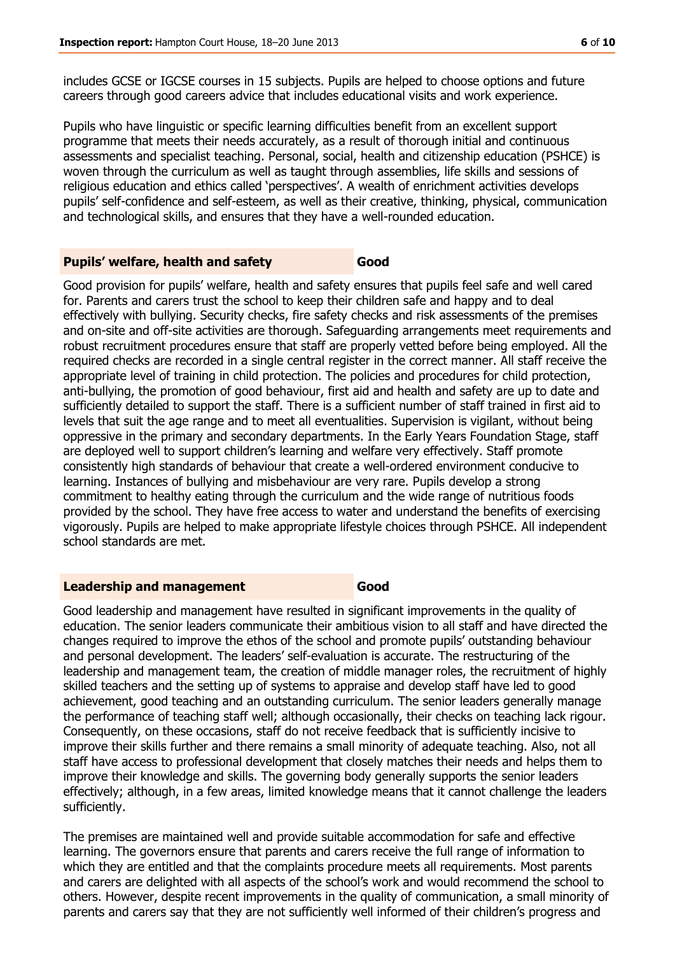includes GCSE or IGCSE courses in 15 subjects. Pupils are helped to choose options and future careers through good careers advice that includes educational visits and work experience.

Pupils who have linguistic or specific learning difficulties benefit from an excellent support programme that meets their needs accurately, as a result of thorough initial and continuous assessments and specialist teaching. Personal, social, health and citizenship education (PSHCE) is woven through the curriculum as well as taught through assemblies, life skills and sessions of religious education and ethics called 'perspectives'. A wealth of enrichment activities develops pupils' self-confidence and self-esteem, as well as their creative, thinking, physical, communication and technological skills, and ensures that they have a well-rounded education.

#### **Pupils' welfare, health and safety <b>Good**

Good provision for pupils' welfare, health and safety ensures that pupils feel safe and well cared for. Parents and carers trust the school to keep their children safe and happy and to deal effectively with bullying. Security checks, fire safety checks and risk assessments of the premises and on-site and off-site activities are thorough. Safeguarding arrangements meet requirements and robust recruitment procedures ensure that staff are properly vetted before being employed. All the required checks are recorded in a single central register in the correct manner. All staff receive the appropriate level of training in child protection. The policies and procedures for child protection, anti-bullying, the promotion of good behaviour, first aid and health and safety are up to date and sufficiently detailed to support the staff. There is a sufficient number of staff trained in first aid to levels that suit the age range and to meet all eventualities. Supervision is vigilant, without being oppressive in the primary and secondary departments. In the Early Years Foundation Stage, staff are deployed well to support children's learning and welfare very effectively. Staff promote consistently high standards of behaviour that create a well-ordered environment conducive to learning. Instances of bullying and misbehaviour are very rare. Pupils develop a strong commitment to healthy eating through the curriculum and the wide range of nutritious foods provided by the school. They have free access to water and understand the benefits of exercising vigorously. Pupils are helped to make appropriate lifestyle choices through PSHCE. All independent school standards are met.

#### **Leadership and management Good**

Good leadership and management have resulted in significant improvements in the quality of education. The senior leaders communicate their ambitious vision to all staff and have directed the changes required to improve the ethos of the school and promote pupils' outstanding behaviour and personal development. The leaders' self-evaluation is accurate. The restructuring of the leadership and management team, the creation of middle manager roles, the recruitment of highly skilled teachers and the setting up of systems to appraise and develop staff have led to good achievement, good teaching and an outstanding curriculum. The senior leaders generally manage the performance of teaching staff well; although occasionally, their checks on teaching lack rigour. Consequently, on these occasions, staff do not receive feedback that is sufficiently incisive to improve their skills further and there remains a small minority of adequate teaching. Also, not all staff have access to professional development that closely matches their needs and helps them to improve their knowledge and skills. The governing body generally supports the senior leaders effectively; although, in a few areas, limited knowledge means that it cannot challenge the leaders sufficiently.

The premises are maintained well and provide suitable accommodation for safe and effective learning. The governors ensure that parents and carers receive the full range of information to which they are entitled and that the complaints procedure meets all requirements. Most parents and carers are delighted with all aspects of the school's work and would recommend the school to others. However, despite recent improvements in the quality of communication, a small minority of parents and carers say that they are not sufficiently well informed of their children's progress and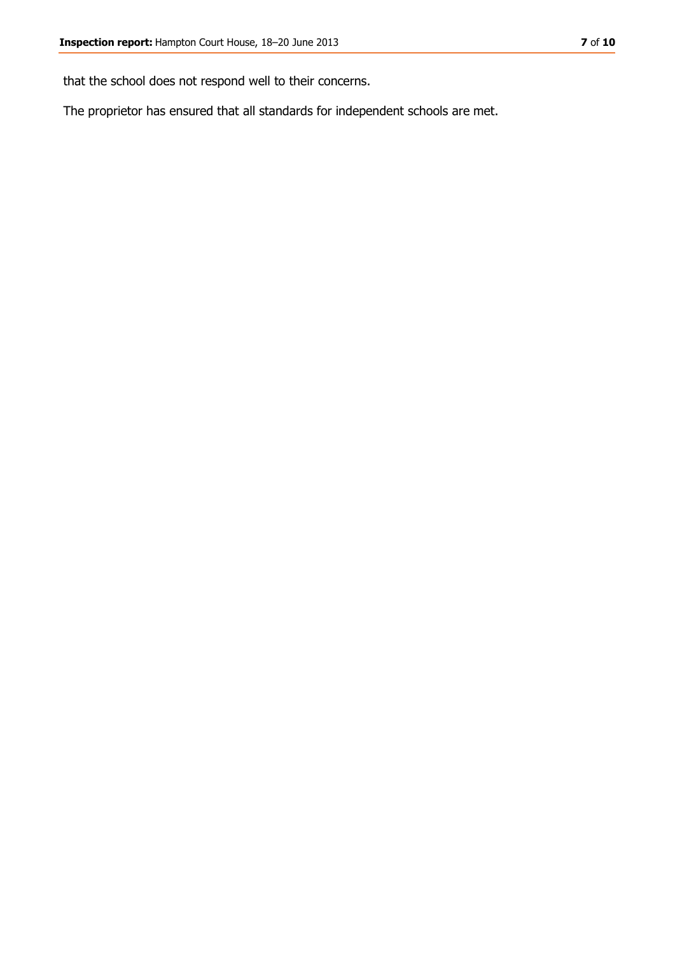that the school does not respond well to their concerns.

The proprietor has ensured that all standards for independent schools are met.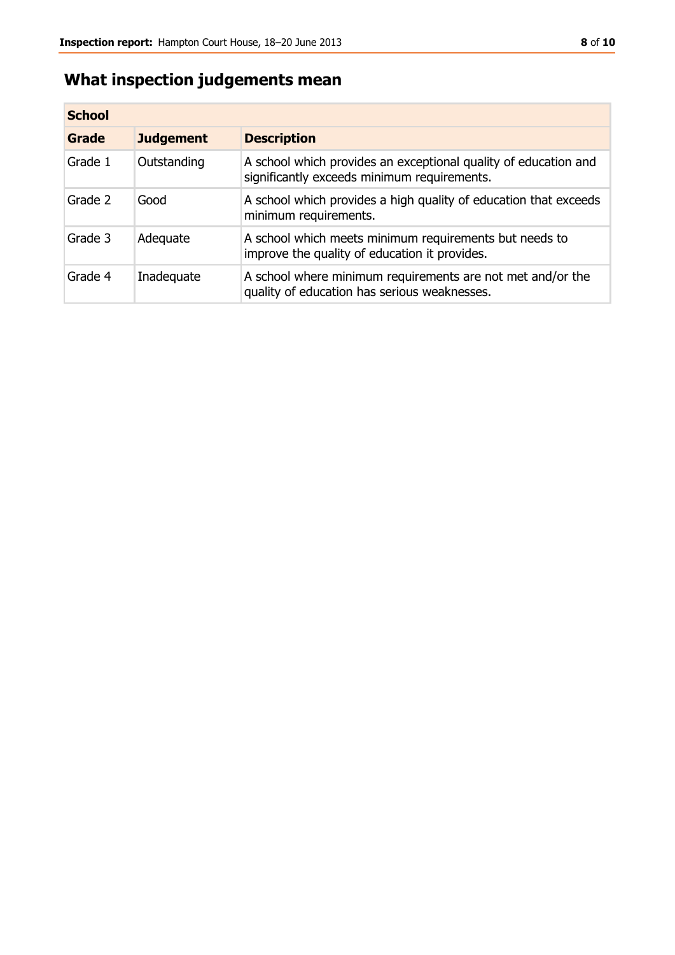# **What inspection judgements mean**

| <b>School</b> |                  |                                                                                                                |
|---------------|------------------|----------------------------------------------------------------------------------------------------------------|
| Grade         | <b>Judgement</b> | <b>Description</b>                                                                                             |
| Grade 1       | Outstanding      | A school which provides an exceptional quality of education and<br>significantly exceeds minimum requirements. |
| Grade 2       | Good             | A school which provides a high quality of education that exceeds<br>minimum requirements.                      |
| Grade 3       | Adequate         | A school which meets minimum requirements but needs to<br>improve the quality of education it provides.        |
| Grade 4       | Inadequate       | A school where minimum requirements are not met and/or the<br>quality of education has serious weaknesses.     |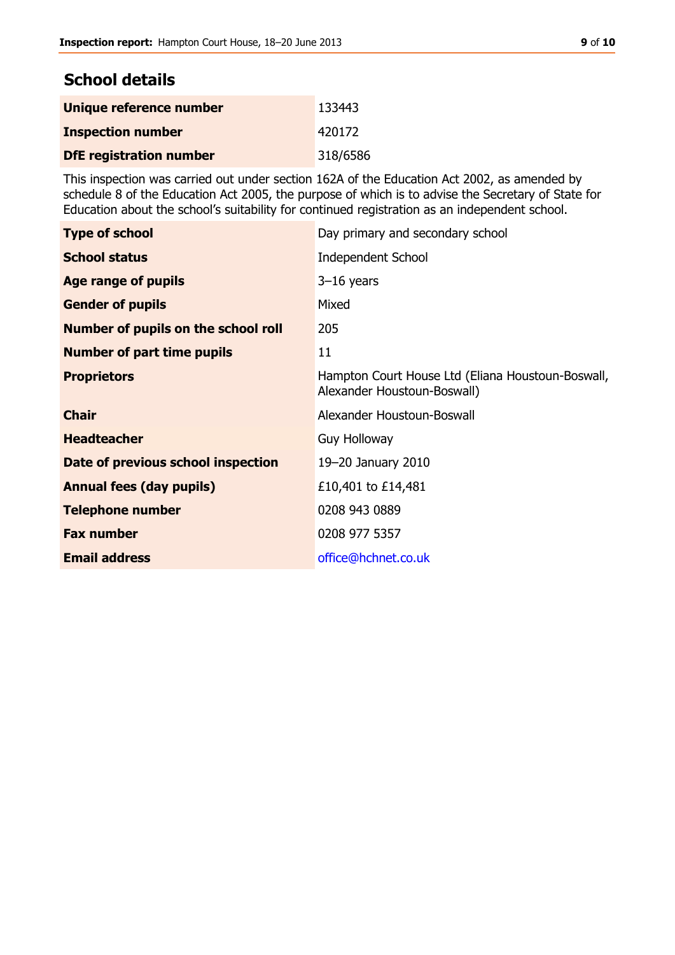# **School details**

| Unique reference number        | 133443   |
|--------------------------------|----------|
| <b>Inspection number</b>       | 420172   |
| <b>DfE registration number</b> | 318/6586 |

This inspection was carried out under section 162A of the Education Act 2002, as amended by schedule 8 of the Education Act 2005, the purpose of which is to advise the Secretary of State for Education about the school's suitability for continued registration as an independent school.

| <b>Type of school</b>                      | Day primary and secondary school                                                 |
|--------------------------------------------|----------------------------------------------------------------------------------|
| <b>School status</b>                       | <b>Independent School</b>                                                        |
| Age range of pupils                        | $3-16$ years                                                                     |
| <b>Gender of pupils</b>                    | Mixed                                                                            |
| <b>Number of pupils on the school roll</b> | 205                                                                              |
| <b>Number of part time pupils</b>          | 11                                                                               |
| <b>Proprietors</b>                         | Hampton Court House Ltd (Eliana Houstoun-Boswall,<br>Alexander Houstoun-Boswall) |
| <b>Chair</b>                               | Alexander Houstoun-Boswall                                                       |
| <b>Headteacher</b>                         | <b>Guy Holloway</b>                                                              |
| Date of previous school inspection         | 19-20 January 2010                                                               |
| <b>Annual fees (day pupils)</b>            | £10,401 to £14,481                                                               |
| <b>Telephone number</b>                    | 0208 943 0889                                                                    |
| <b>Fax number</b>                          | 0208 977 5357                                                                    |
| <b>Email address</b>                       | office@hchnet.co.uk                                                              |